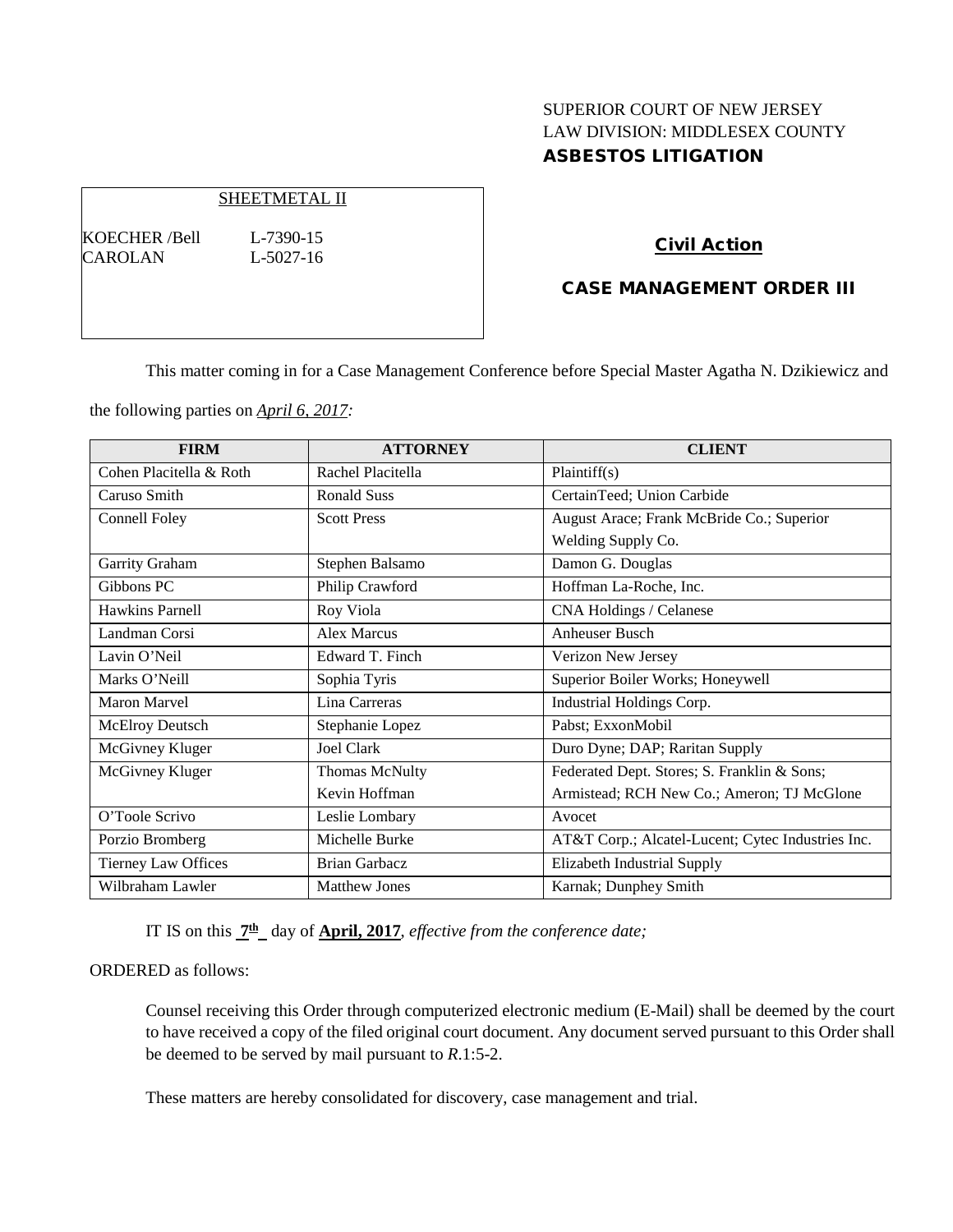# SUPERIOR COURT OF NEW JERSEY LAW DIVISION: MIDDLESEX COUNTY ASBESTOS LITIGATION

## SHEETMETAL II

KOECHER /Bell L-7390-15 CAROLAN L-5027-16

## Civil Action

## CASE MANAGEMENT ORDER III

This matter coming in for a Case Management Conference before Special Master Agatha N. Dzikiewicz and

the following parties on *April 6, 2017:*

| <b>FIRM</b>                | <b>ATTORNEY</b>      | <b>CLIENT</b>                                     |
|----------------------------|----------------------|---------------------------------------------------|
| Cohen Placitella & Roth    | Rachel Placitella    | Plaintiff(s)                                      |
| Caruso Smith               | <b>Ronald Suss</b>   | CertainTeed; Union Carbide                        |
| Connell Foley              | <b>Scott Press</b>   | August Arace; Frank McBride Co.; Superior         |
|                            |                      | Welding Supply Co.                                |
| Garrity Graham             | Stephen Balsamo      | Damon G. Douglas                                  |
| Gibbons PC                 | Philip Crawford      | Hoffman La-Roche, Inc.                            |
| Hawkins Parnell            | Roy Viola            | CNA Holdings / Celanese                           |
| Landman Corsi              | <b>Alex Marcus</b>   | <b>Anheuser Busch</b>                             |
| Lavin O'Neil               | Edward T. Finch      | Verizon New Jersey                                |
| Marks O'Neill              | Sophia Tyris         | Superior Boiler Works; Honeywell                  |
| Maron Marvel               | Lina Carreras        | Industrial Holdings Corp.                         |
| <b>McElroy Deutsch</b>     | Stephanie Lopez      | Pabst; ExxonMobil                                 |
| McGivney Kluger            | Joel Clark           | Duro Dyne; DAP; Raritan Supply                    |
| McGivney Kluger            | Thomas McNulty       | Federated Dept. Stores; S. Franklin & Sons;       |
|                            | Kevin Hoffman        | Armistead; RCH New Co.; Ameron; TJ McGlone        |
| O'Toole Scrivo             | Leslie Lombary       | Avocet                                            |
| Porzio Bromberg            | Michelle Burke       | AT&T Corp.; Alcatel-Lucent; Cytec Industries Inc. |
| <b>Tierney Law Offices</b> | <b>Brian Garbacz</b> | Elizabeth Industrial Supply                       |
| Wilbraham Lawler           | <b>Matthew Jones</b> | Karnak; Dunphey Smith                             |

IT IS on this **7th** day of **April, 2017**, *effective from the conference date;*

## ORDERED as follows:

Counsel receiving this Order through computerized electronic medium (E-Mail) shall be deemed by the court to have received a copy of the filed original court document. Any document served pursuant to this Order shall be deemed to be served by mail pursuant to *R*.1:5-2.

These matters are hereby consolidated for discovery, case management and trial.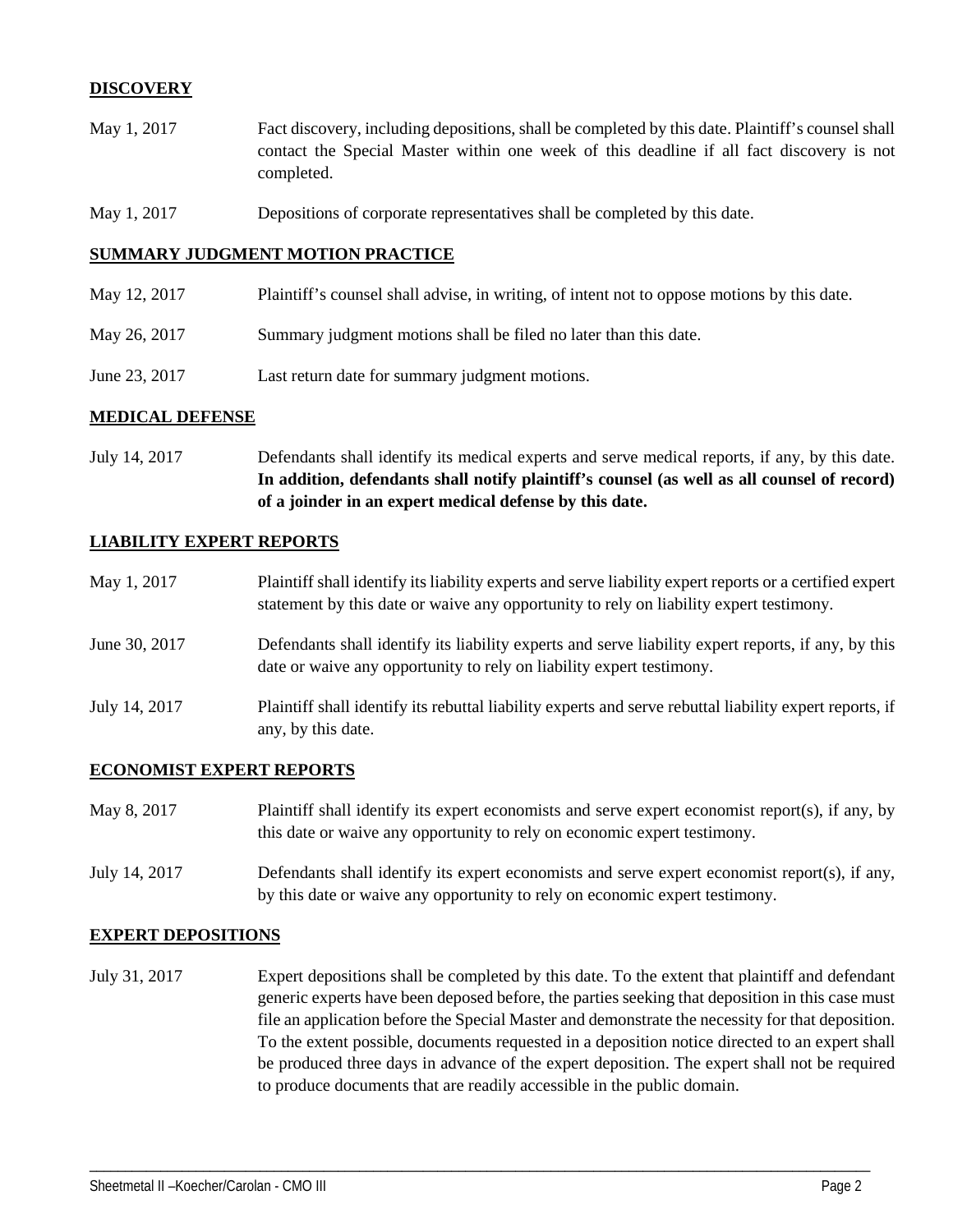## **DISCOVERY**

- May 1, 2017 Fact discovery, including depositions, shall be completed by this date. Plaintiff's counsel shall contact the Special Master within one week of this deadline if all fact discovery is not completed.
- May 1, 2017 Depositions of corporate representatives shall be completed by this date.

#### **SUMMARY JUDGMENT MOTION PRACTICE**

- May 12, 2017 Plaintiff's counsel shall advise, in writing, of intent not to oppose motions by this date.
- May 26, 2017 Summary judgment motions shall be filed no later than this date.
- June 23, 2017 Last return date for summary judgment motions.

## **MEDICAL DEFENSE**

July 14, 2017 Defendants shall identify its medical experts and serve medical reports, if any, by this date. **In addition, defendants shall notify plaintiff's counsel (as well as all counsel of record) of a joinder in an expert medical defense by this date.**

#### **LIABILITY EXPERT REPORTS**

May 1, 2017 Plaintiff shall identify its liability experts and serve liability expert reports or a certified expert statement by this date or waive any opportunity to rely on liability expert testimony. June 30, 2017 Defendants shall identify its liability experts and serve liability expert reports, if any, by this date or waive any opportunity to rely on liability expert testimony. July 14, 2017 Plaintiff shall identify its rebuttal liability experts and serve rebuttal liability expert reports, if any, by this date.

## **ECONOMIST EXPERT REPORTS**

| May 8, 2017   | Plaintiff shall identify its expert economists and serve expert economist report(s), if any, by |  |  |
|---------------|-------------------------------------------------------------------------------------------------|--|--|
|               | this date or waive any opportunity to rely on economic expert testimony.                        |  |  |
| July 14, 2017 | Defendants shall identify its expert economists and serve expert economist report(s), if any,   |  |  |

by this date or waive any opportunity to rely on economic expert testimony.

#### **EXPERT DEPOSITIONS**

July 31, 2017 Expert depositions shall be completed by this date. To the extent that plaintiff and defendant generic experts have been deposed before, the parties seeking that deposition in this case must file an application before the Special Master and demonstrate the necessity for that deposition. To the extent possible, documents requested in a deposition notice directed to an expert shall be produced three days in advance of the expert deposition. The expert shall not be required to produce documents that are readily accessible in the public domain.

\_\_\_\_\_\_\_\_\_\_\_\_\_\_\_\_\_\_\_\_\_\_\_\_\_\_\_\_\_\_\_\_\_\_\_\_\_\_\_\_\_\_\_\_\_\_\_\_\_\_\_\_\_\_\_\_\_\_\_\_\_\_\_\_\_\_\_\_\_\_\_\_\_\_\_\_\_\_\_\_\_\_\_\_\_\_\_\_\_\_\_\_\_\_\_\_\_\_\_\_\_\_\_\_\_\_\_\_\_\_